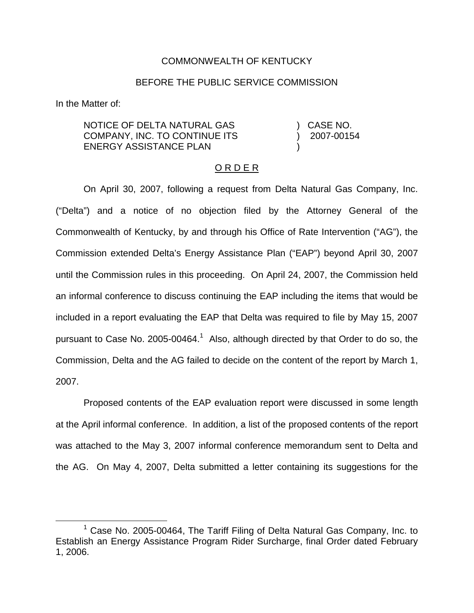### COMMONWEALTH OF KENTUCKY

### BEFORE THE PUBLIC SERVICE COMMISSION

In the Matter of:

NOTICE OF DELTA NATURAL GAS COMPANY, INC. TO CONTINUE ITS ENERGY ASSISTANCE PLAN ) CASE NO. ) 2007-00154 )

## O R D E R

On April 30, 2007, following a request from Delta Natural Gas Company, Inc. ("Delta") and a notice of no objection filed by the Attorney General of the Commonwealth of Kentucky, by and through his Office of Rate Intervention ("AG"), the Commission extended Delta's Energy Assistance Plan ("EAP") beyond April 30, 2007 until the Commission rules in this proceeding. On April 24, 2007, the Commission held an informal conference to discuss continuing the EAP including the items that would be included in a report evaluating the EAP that Delta was required to file by May 15, 2007 pursuant to Case No. 2005-00464.<sup>1</sup> Also, although directed by that Order to do so, the Commission, Delta and the AG failed to decide on the content of the report by March 1, 2007.

Proposed contents of the EAP evaluation report were discussed in some length at the April informal conference. In addition, a list of the proposed contents of the report was attached to the May 3, 2007 informal conference memorandum sent to Delta and the AG. On May 4, 2007, Delta submitted a letter containing its suggestions for the

<sup>&</sup>lt;sup>1</sup> Case No. 2005-00464, The Tariff Filing of Delta Natural Gas Company, Inc. to Establish an Energy Assistance Program Rider Surcharge, final Order dated February 1, 2006.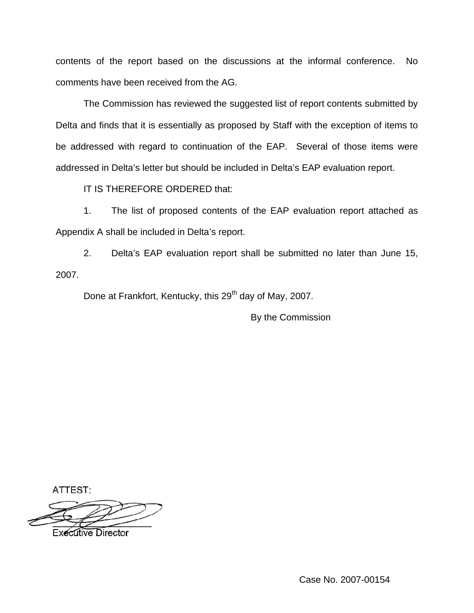contents of the report based on the discussions at the informal conference. No comments have been received from the AG.

The Commission has reviewed the suggested list of report contents submitted by Delta and finds that it is essentially as proposed by Staff with the exception of items to be addressed with regard to continuation of the EAP. Several of those items were addressed in Delta's letter but should be included in Delta's EAP evaluation report.

IT IS THEREFORE ORDERED that:

1. The list of proposed contents of the EAP evaluation report attached as Appendix A shall be included in Delta's report.

2. Delta's EAP evaluation report shall be submitted no later than June 15, 2007.

Done at Frankfort, Kentucky, this 29<sup>th</sup> day of May, 2007.

By the Commission

ATTEST:

**Executive Director**